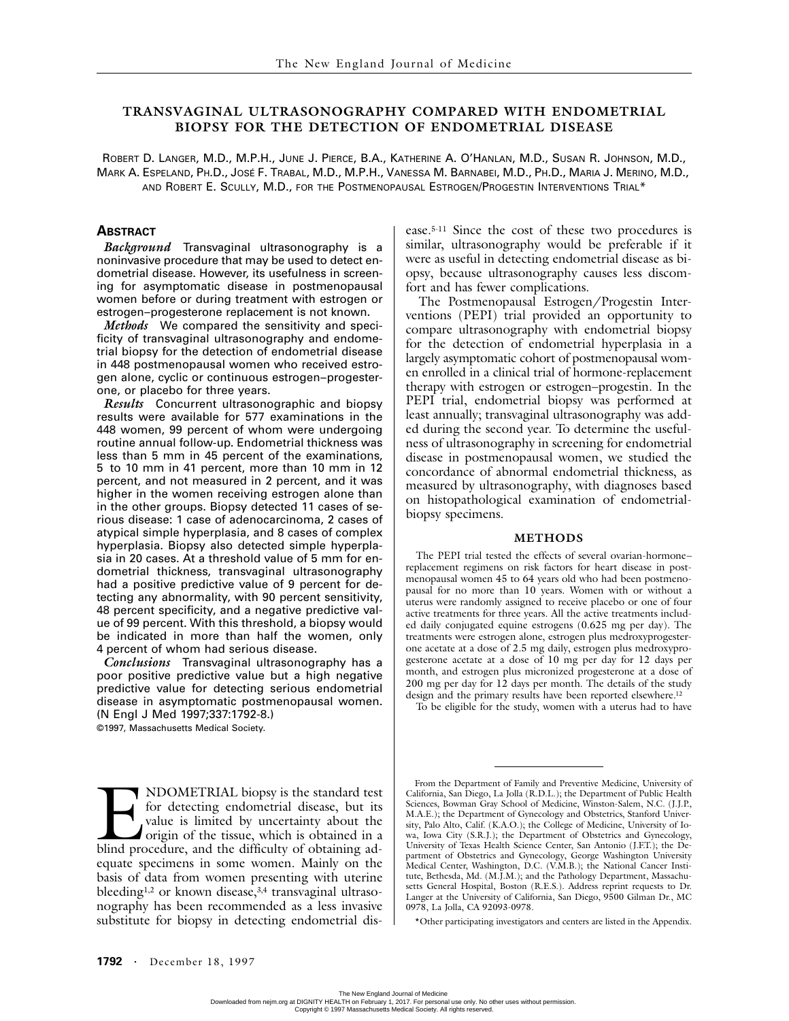# **TRANSVAGINAL ULTRASONOGRAPHY COMPARED WITH ENDOMETRIAL BIOPSY FOR THE DETECTION OF ENDOMETRIAL DISEASE**

ROBERT D. LANGER, M.D., M.P.H., JUNE J. PIERCE, B.A., KATHERINE A. O'HANLAN, M.D., SUSAN R. JOHNSON, M.D., MARK A. ESPELAND, PH.D., JOSÉ F. TRABAL, M.D., M.P.H., VANESSA M. BARNABEI, M.D., PH.D., MARIA J. MERINO, M.D., AND ROBERT E. SCULLY, M.D., FOR THE POSTMENOPAUSAL ESTROGEN/PROGESTIN INTERVENTIONS TRIAL\*

# **ABSTRACT**

*Background* Transvaginal ultrasonography is a noninvasive procedure that may be used to detect endometrial disease. However, its usefulness in screening for asymptomatic disease in postmenopausal women before or during treatment with estrogen or estrogen–progesterone replacement is not known.

*Methods* We compared the sensitivity and specificity of transvaginal ultrasonography and endometrial biopsy for the detection of endometrial disease in 448 postmenopausal women who received estrogen alone, cyclic or continuous estrogen–progesterone, or placebo for three years.

*Results* Concurrent ultrasonographic and biopsy results were available for 577 examinations in the 448 women, 99 percent of whom were undergoing routine annual follow-up. Endometrial thickness was less than 5 mm in 45 percent of the examinations, 5 to 10 mm in 41 percent, more than 10 mm in 12 percent, and not measured in 2 percent, and it was higher in the women receiving estrogen alone than in the other groups. Biopsy detected 11 cases of serious disease: 1 case of adenocarcinoma, 2 cases of atypical simple hyperplasia, and 8 cases of complex hyperplasia. Biopsy also detected simple hyperplasia in 20 cases. At a threshold value of 5 mm for endometrial thickness, transvaginal ultrasonography had a positive predictive value of 9 percent for detecting any abnormality, with 90 percent sensitivity, 48 percent specificity, and a negative predictive value of 99 percent. With this threshold, a biopsy would be indicated in more than half the women, only 4 percent of whom had serious disease.

*Conclusions* Transvaginal ultrasonography has a poor positive predictive value but a high negative predictive value for detecting serious endometrial disease in asymptomatic postmenopausal women. (N Engl J Med 1997;337:1792-8.)

©1997, Massachusetts Medical Society.

NDOMETRIAL biopsy is the standard test for detecting endometrial disease, but its value is limited by uncertainty about the origin of the tissue, which is obtained in a NDOMETRIAL biopsy is the standard test<br>for detecting endometrial disease, but its<br>value is limited by uncertainty about the<br>origin of the tissue, which is obtained in a<br>blind procedure, and the difficulty of obtaining adequate specimens in some women. Mainly on the basis of data from women presenting with uterine bleeding<sup>1,2</sup> or known disease,<sup>3,4</sup> transvaginal ultrasonography has been recommended as a less invasive substitute for biopsy in detecting endometrial disease.5-11 Since the cost of these two procedures is similar, ultrasonography would be preferable if it were as useful in detecting endometrial disease as biopsy, because ultrasonography causes less discomfort and has fewer complications.

The Postmenopausal Estrogen/Progestin Interventions (PEPI) trial provided an opportunity to compare ultrasonography with endometrial biopsy for the detection of endometrial hyperplasia in a largely asymptomatic cohort of postmenopausal women enrolled in a clinical trial of hormone-replacement therapy with estrogen or estrogen–progestin. In the PEPI trial, endometrial biopsy was performed at least annually; transvaginal ultrasonography was added during the second year. To determine the usefulness of ultrasonography in screening for endometrial disease in postmenopausal women, we studied the concordance of abnormal endometrial thickness, as measured by ultrasonography, with diagnoses based on histopathological examination of endometrialbiopsy specimens.

### **METHODS**

The PEPI trial tested the effects of several ovarian-hormone– replacement regimens on risk factors for heart disease in postmenopausal women 45 to 64 years old who had been postmenopausal for no more than 10 years. Women with or without a uterus were randomly assigned to receive placebo or one of four active treatments for three years. All the active treatments included daily conjugated equine estrogens (0.625 mg per day). The treatments were estrogen alone, estrogen plus medroxyprogesterone acetate at a dose of 2.5 mg daily, estrogen plus medroxyprogesterone acetate at a dose of 10 mg per day for 12 days per month, and estrogen plus micronized progesterone at a dose of 200 mg per day for 12 days per month. The details of the study design and the primary results have been reported elsewhere.12

To be eligible for the study, women with a uterus had to have

\*Other participating investigators and centers are listed in the Appendix.

From the Department of Family and Preventive Medicine, University of California, San Diego, La Jolla (R.D.L.); the Department of Public Health Sciences, Bowman Gray School of Medicine, Winston-Salem, N.C. (J.J.P., M.A.E.); the Department of Gynecology and Obstetrics, Stanford University, Palo Alto, Calif. (K.A.O.); the College of Medicine, University of Iowa, Iowa City (S.R.J.); the Department of Obstetrics and Gynecology, University of Texas Health Science Center, San Antonio (J.F.T.); the Department of Obstetrics and Gynecology, George Washington University Medical Center, Washington, D.C. (V.M.B.); the National Cancer Institute, Bethesda, Md. (M.J.M.); and the Pathology Department, Massachusetts General Hospital, Boston (R.E.S.). Address reprint requests to Dr. Langer at the University of California, San Diego, 9500 Gilman Dr., MC 0978, La Jolla, CA 92093-0978.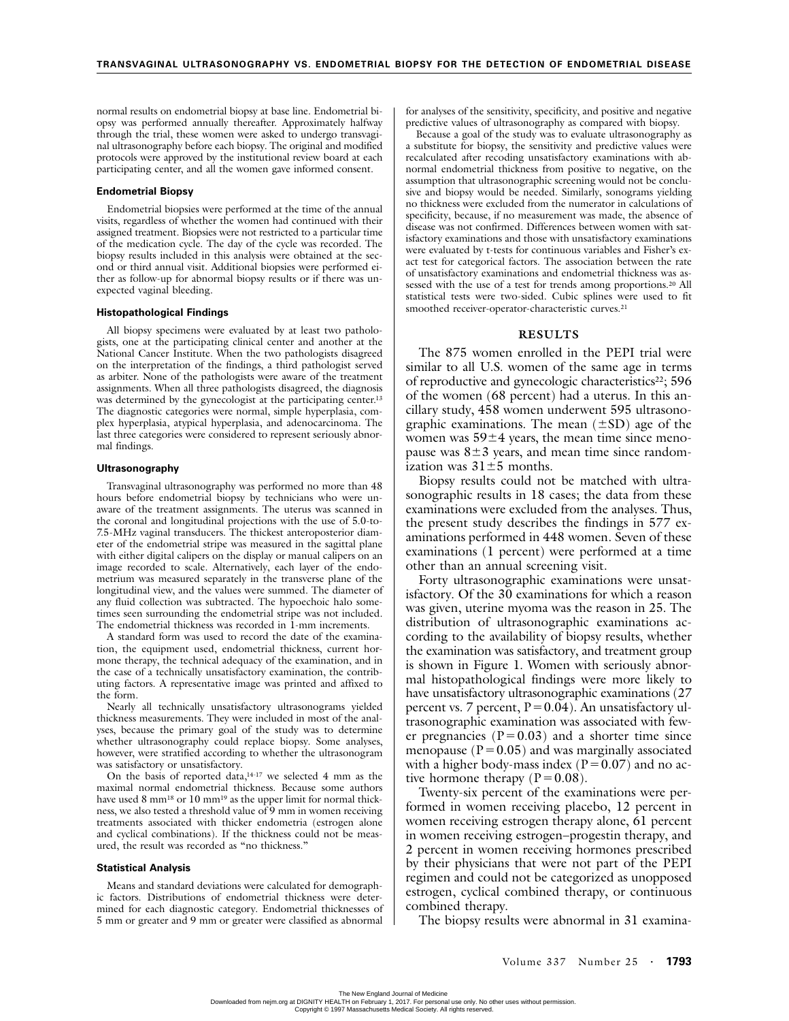normal results on endometrial biopsy at base line. Endometrial biopsy was performed annually thereafter. Approximately halfway through the trial, these women were asked to undergo transvaginal ultrasonography before each biopsy. The original and modified protocols were approved by the institutional review board at each participating center, and all the women gave informed consent.

#### **Endometrial Biopsy**

Endometrial biopsies were performed at the time of the annual visits, regardless of whether the women had continued with their assigned treatment. Biopsies were not restricted to a particular time of the medication cycle. The day of the cycle was recorded. The biopsy results included in this analysis were obtained at the second or third annual visit. Additional biopsies were performed either as follow-up for abnormal biopsy results or if there was unexpected vaginal bleeding.

### **Histopathological Findings**

All biopsy specimens were evaluated by at least two pathologists, one at the participating clinical center and another at the National Cancer Institute. When the two pathologists disagreed on the interpretation of the findings, a third pathologist served as arbiter. None of the pathologists were aware of the treatment assignments. When all three pathologists disagreed, the diagnosis was determined by the gynecologist at the participating center.13 The diagnostic categories were normal, simple hyperplasia, complex hyperplasia, atypical hyperplasia, and adenocarcinoma. The last three categories were considered to represent seriously abnormal findings.

#### **Ultrasonography**

Transvaginal ultrasonography was performed no more than 48 hours before endometrial biopsy by technicians who were unaware of the treatment assignments. The uterus was scanned in the coronal and longitudinal projections with the use of 5.0-to-7.5-MHz vaginal transducers. The thickest anteroposterior diameter of the endometrial stripe was measured in the sagittal plane with either digital calipers on the display or manual calipers on an image recorded to scale. Alternatively, each layer of the endometrium was measured separately in the transverse plane of the longitudinal view, and the values were summed. The diameter of any fluid collection was subtracted. The hypoechoic halo sometimes seen surrounding the endometrial stripe was not included. The endometrial thickness was recorded in 1-mm increments.

A standard form was used to record the date of the examination, the equipment used, endometrial thickness, current hormone therapy, the technical adequacy of the examination, and in the case of a technically unsatisfactory examination, the contributing factors. A representative image was printed and affixed to the form.

Nearly all technically unsatisfactory ultrasonograms yielded thickness measurements. They were included in most of the analyses, because the primary goal of the study was to determine whether ultrasonography could replace biopsy. Some analyses, however, were stratified according to whether the ultrasonogram was satisfactory or unsatisfactory.

On the basis of reported data, $14-17$  we selected 4 mm as the maximal normal endometrial thickness. Because some authors have used 8 mm<sup>18</sup> or 10 mm<sup>19</sup> as the upper limit for normal thickness, we also tested a threshold value of 9 mm in women receiving treatments associated with thicker endometria (estrogen alone and cyclical combinations). If the thickness could not be measured, the result was recorded as "no thickness."

#### **Statistical Analysis**

Means and standard deviations were calculated for demographic factors. Distributions of endometrial thickness were determined for each diagnostic category. Endometrial thicknesses of 5 mm or greater and 9 mm or greater were classified as abnormal for analyses of the sensitivity, specificity, and positive and negative predictive values of ultrasonography as compared with biopsy.

Because a goal of the study was to evaluate ultrasonography as a substitute for biopsy, the sensitivity and predictive values were recalculated after recoding unsatisfactory examinations with abnormal endometrial thickness from positive to negative, on the assumption that ultrasonographic screening would not be conclusive and biopsy would be needed. Similarly, sonograms yielding no thickness were excluded from the numerator in calculations of specificity, because, if no measurement was made, the absence of disease was not confirmed. Differences between women with satisfactory examinations and those with unsatisfactory examinations were evaluated by t-tests for continuous variables and Fisher's exact test for categorical factors. The association between the rate of unsatisfactory examinations and endometrial thickness was assessed with the use of a test for trends among proportions.20 All statistical tests were two-sided. Cubic splines were used to fit smoothed receiver-operator-characteristic curves.<sup>21</sup>

## **RESULTS**

The 875 women enrolled in the PEPI trial were similar to all U.S. women of the same age in terms of reproductive and gynecologic characteristics<sup>22</sup>; 596 of the women (68 percent) had a uterus. In this ancillary study, 458 women underwent 595 ultrasonographic examinations. The mean  $(\pm SD)$  age of the women was  $59 \pm 4$  years, the mean time since menopause was  $8\pm3$  years, and mean time since randomization was  $31\pm5$  months.

Biopsy results could not be matched with ultrasonographic results in 18 cases; the data from these examinations were excluded from the analyses. Thus, the present study describes the findings in 577 examinations performed in 448 women. Seven of these examinations (1 percent) were performed at a time other than an annual screening visit.

Forty ultrasonographic examinations were unsatisfactory. Of the 30 examinations for which a reason was given, uterine myoma was the reason in 25. The distribution of ultrasonographic examinations according to the availability of biopsy results, whether the examination was satisfactory, and treatment group is shown in Figure 1. Women with seriously abnormal histopathological findings were more likely to have unsatisfactory ultrasonographic examinations (27 percent vs. 7 percent,  $P=0.04$ ). An unsatisfactory ultrasonographic examination was associated with fewer pregnancies ( $P=0.03$ ) and a shorter time since menopause ( $P=0.05$ ) and was marginally associated with a higher body-mass index ( $P=0.07$ ) and no active hormone therapy ( $P=0.08$ ).

Twenty-six percent of the examinations were performed in women receiving placebo, 12 percent in women receiving estrogen therapy alone, 61 percent in women receiving estrogen–progestin therapy, and 2 percent in women receiving hormones prescribed by their physicians that were not part of the PEPI regimen and could not be categorized as unopposed estrogen, cyclical combined therapy, or continuous combined therapy.

The biopsy results were abnormal in 31 examina-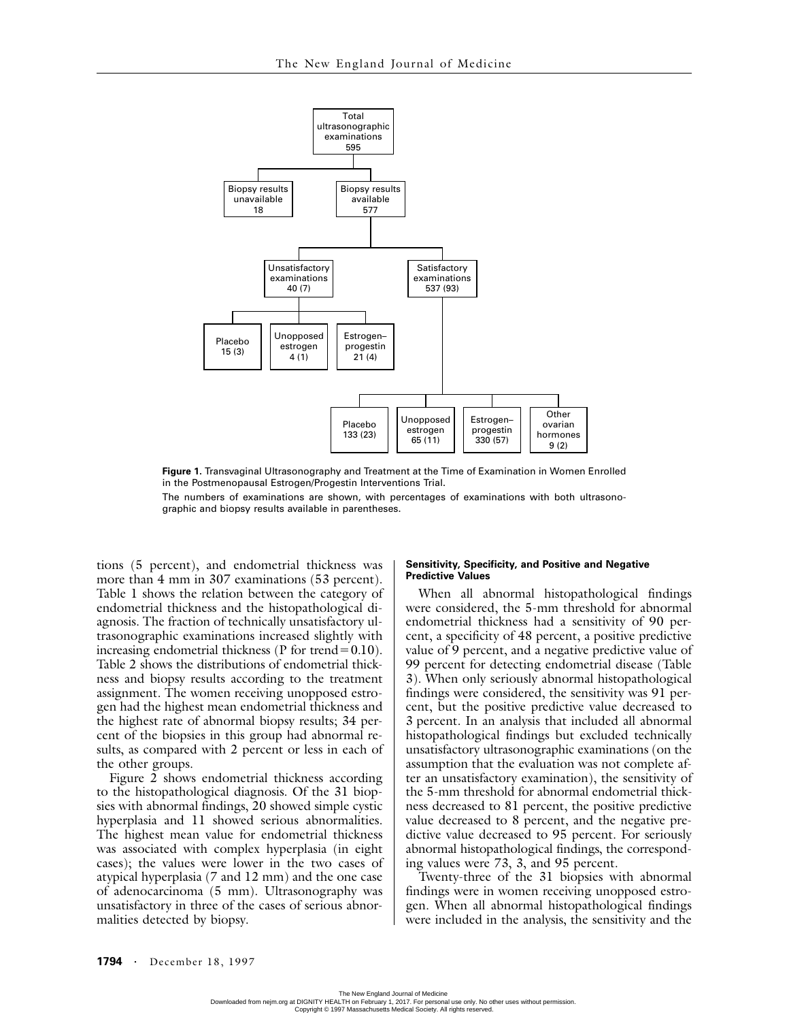

**Figure 1.** Transvaginal Ultrasonography and Treatment at the Time of Examination in Women Enrolled in the Postmenopausal Estrogen/Progestin Interventions Trial.

The numbers of examinations are shown, with percentages of examinations with both ultrasonographic and biopsy results available in parentheses.

tions (5 percent), and endometrial thickness was more than 4 mm in 307 examinations (53 percent). Table 1 shows the relation between the category of endometrial thickness and the histopathological diagnosis. The fraction of technically unsatisfactory ultrasonographic examinations increased slightly with increasing endometrial thickness ( $P$  for trend $=0.10$ ). Table 2 shows the distributions of endometrial thickness and biopsy results according to the treatment assignment. The women receiving unopposed estrogen had the highest mean endometrial thickness and the highest rate of abnormal biopsy results; 34 percent of the biopsies in this group had abnormal results, as compared with 2 percent or less in each of the other groups.

Figure 2 shows endometrial thickness according to the histopathological diagnosis. Of the 31 biopsies with abnormal findings, 20 showed simple cystic hyperplasia and 11 showed serious abnormalities. The highest mean value for endometrial thickness was associated with complex hyperplasia (in eight cases); the values were lower in the two cases of atypical hyperplasia (7 and 12 mm) and the one case of adenocarcinoma (5 mm). Ultrasonography was unsatisfactory in three of the cases of serious abnormalities detected by biopsy.

### **Sensitivity, Specificity, and Positive and Negative Predictive Values**

When all abnormal histopathological findings were considered, the 5-mm threshold for abnormal endometrial thickness had a sensitivity of 90 percent, a specificity of 48 percent, a positive predictive value of 9 percent, and a negative predictive value of 99 percent for detecting endometrial disease (Table 3). When only seriously abnormal histopathological findings were considered, the sensitivity was 91 percent, but the positive predictive value decreased to 3 percent. In an analysis that included all abnormal histopathological findings but excluded technically unsatisfactory ultrasonographic examinations (on the assumption that the evaluation was not complete after an unsatisfactory examination), the sensitivity of the 5-mm threshold for abnormal endometrial thickness decreased to 81 percent, the positive predictive value decreased to 8 percent, and the negative predictive value decreased to 95 percent. For seriously abnormal histopathological findings, the corresponding values were 73, 3, and 95 percent.

Twenty-three of the 31 biopsies with abnormal findings were in women receiving unopposed estrogen. When all abnormal histopathological findings were included in the analysis, the sensitivity and the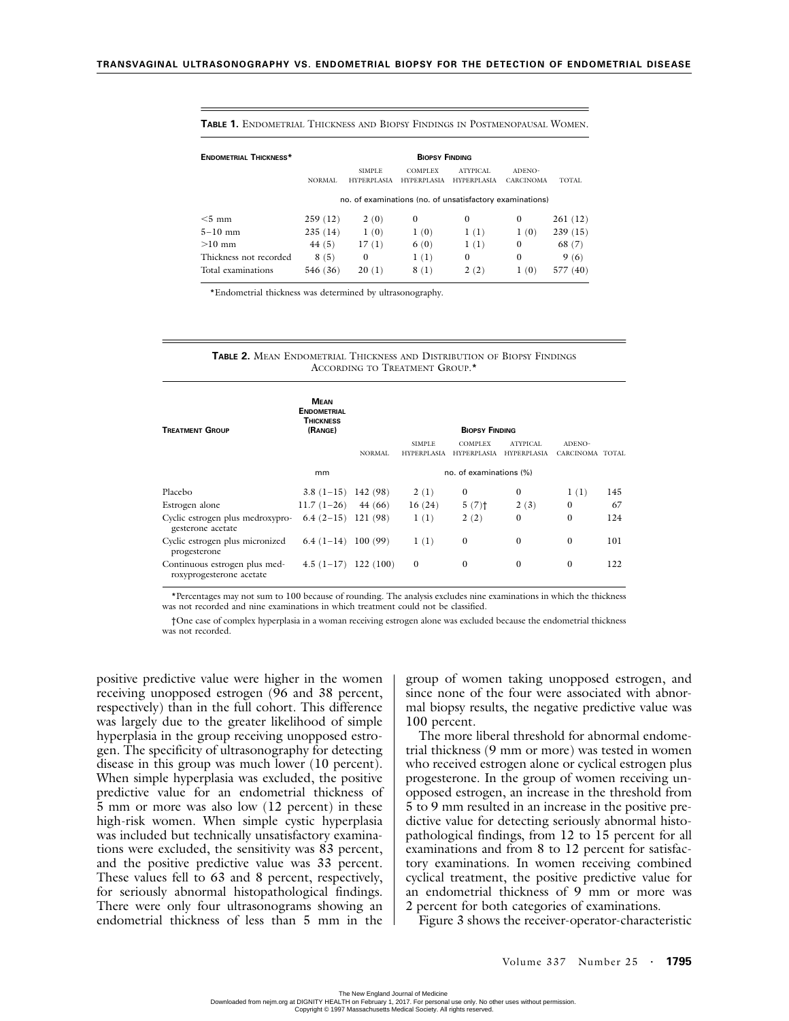| <b>ENDOMETRIAL THICKNESS*</b> | <b>BIOPSY FINDING</b>                                    |                    |                    |                    |           |               |  |
|-------------------------------|----------------------------------------------------------|--------------------|--------------------|--------------------|-----------|---------------|--|
|                               |                                                          | <b>SIMPLE</b>      | <b>COMPLEX</b>     | ATYPICAL           | ADENO-    |               |  |
|                               | <b>NORMAL</b>                                            | <b>HYPERPLASIA</b> | <b>HYPERPLASIA</b> | <b>HYPERPLASIA</b> | CARCINOMA | TOTAL         |  |
|                               | no. of examinations (no. of unsatisfactory examinations) |                    |                    |                    |           |               |  |
| $<$ 5 mm                      | 259(12)                                                  | 2(0)               | 0                  | 0                  | 0         | 261(12)       |  |
| $5 - 10$ mm                   | 235(14)                                                  | 1(0)               | 1(0)               | 1(1)               | 1(0)      | 239(15)       |  |
| $>10$ mm                      | 44(5)                                                    | 17(1)              | 6(0)               | 1(1)               | 0         | 68 (7)        |  |
| Thickness not recorded        | 8(5)                                                     | 0                  | 1(1)               | $\mathbf{0}$       | 0         | 9(6)          |  |
| Total examinations            | 546 (36)                                                 | 20(1)              | 8(1)               | 2(2)               | 1(0)      | (40)<br>577 ( |  |

**TABLE 1.** ENDOMETRIAL THICKNESS AND BIOPSY FINDINGS IN POSTMENOPAUSAL WOMEN.

\*Endometrial thickness was determined by ultrasonography.

|                                |  |  |  |  | <b>TABLE 2.</b> MEAN ENDOMETRIAL THICKNESS AND DISTRIBUTION OF BIOPSY FINDINGS |  |  |  |
|--------------------------------|--|--|--|--|--------------------------------------------------------------------------------|--|--|--|
| ACCORDING TO TREATMENT GROUP.* |  |  |  |  |                                                                                |  |  |  |

| <b>TREATMENT GROUP</b>                                    | <b>MEAN</b><br><b>ENDOMETRIAL</b><br><b>THICKNESS</b><br><b>BIOPSY FINDING</b><br>(RANGE) |               |                                     |                                      |                                       |                           |     |
|-----------------------------------------------------------|-------------------------------------------------------------------------------------------|---------------|-------------------------------------|--------------------------------------|---------------------------------------|---------------------------|-----|
|                                                           |                                                                                           | <b>NORMAL</b> | <b>SIMPLE</b><br><b>HYPERPLASIA</b> | <b>COMPLEX</b><br><b>HYPERPLASIA</b> | <b>ATYPICAL</b><br><b>HYPERPLASIA</b> | ADENO-<br>CARCINOMA TOTAL |     |
|                                                           |                                                                                           |               |                                     |                                      |                                       |                           |     |
|                                                           | mm                                                                                        |               | no. of examinations (%)             |                                      |                                       |                           |     |
| Placebo                                                   | $3.8(1-15)$                                                                               | 142(98)       | 2(1)                                | $\mathbf{0}$                         | $\mathbf{0}$                          | 1(1)                      | 145 |
| Estrogen alone                                            | $11.7(1-26)$                                                                              | 44 (66)       | 16(24)                              | $5(7)$ <sup>+</sup>                  | 2(3)                                  | $\Omega$                  | 67  |
| Cyclic estrogen plus medroxypro-<br>gesterone acetate     | $6.4(2-15)$                                                                               | 121(98)       | 1(1)                                | 2(2)                                 | $\mathbf{0}$                          | $\Omega$                  | 124 |
| Cyclic estrogen plus micronized<br>progesterone           | $6.4(1-14)$                                                                               | 100(99)       | 1(1)                                | $\mathbf{0}$                         | $\Omega$                              | $\Omega$                  | 101 |
| Continuous estrogen plus med-<br>roxyprogesterone acetate | $4.5(1-17)$                                                                               | 122(100)      | $\mathbf{0}$                        | $\mathbf{0}$                         | $\mathbf{0}$                          | $\mathbf{0}$              | 122 |

\*Percentages may not sum to 100 because of rounding. The analysis excludes nine examinations in which the thickness was not recorded and nine examinations in which treatment could not be classified.

†One case of complex hyperplasia in a woman receiving estrogen alone was excluded because the endometrial thickness was not recorded.

positive predictive value were higher in the women receiving unopposed estrogen (96 and 38 percent, respectively) than in the full cohort. This difference was largely due to the greater likelihood of simple hyperplasia in the group receiving unopposed estrogen. The specificity of ultrasonography for detecting disease in this group was much lower (10 percent). When simple hyperplasia was excluded, the positive predictive value for an endometrial thickness of 5 mm or more was also low (12 percent) in these high-risk women. When simple cystic hyperplasia was included but technically unsatisfactory examinations were excluded, the sensitivity was 83 percent, and the positive predictive value was 33 percent. These values fell to 63 and 8 percent, respectively, for seriously abnormal histopathological findings. There were only four ultrasonograms showing an endometrial thickness of less than 5 mm in the group of women taking unopposed estrogen, and since none of the four were associated with abnormal biopsy results, the negative predictive value was 100 percent.

The more liberal threshold for abnormal endometrial thickness (9 mm or more) was tested in women who received estrogen alone or cyclical estrogen plus progesterone. In the group of women receiving unopposed estrogen, an increase in the threshold from 5 to 9 mm resulted in an increase in the positive predictive value for detecting seriously abnormal histopathological findings, from 12 to 15 percent for all examinations and from 8 to 12 percent for satisfactory examinations. In women receiving combined cyclical treatment, the positive predictive value for an endometrial thickness of 9 mm or more was 2 percent for both categories of examinations.

Figure 3 shows the receiver-operator-characteristic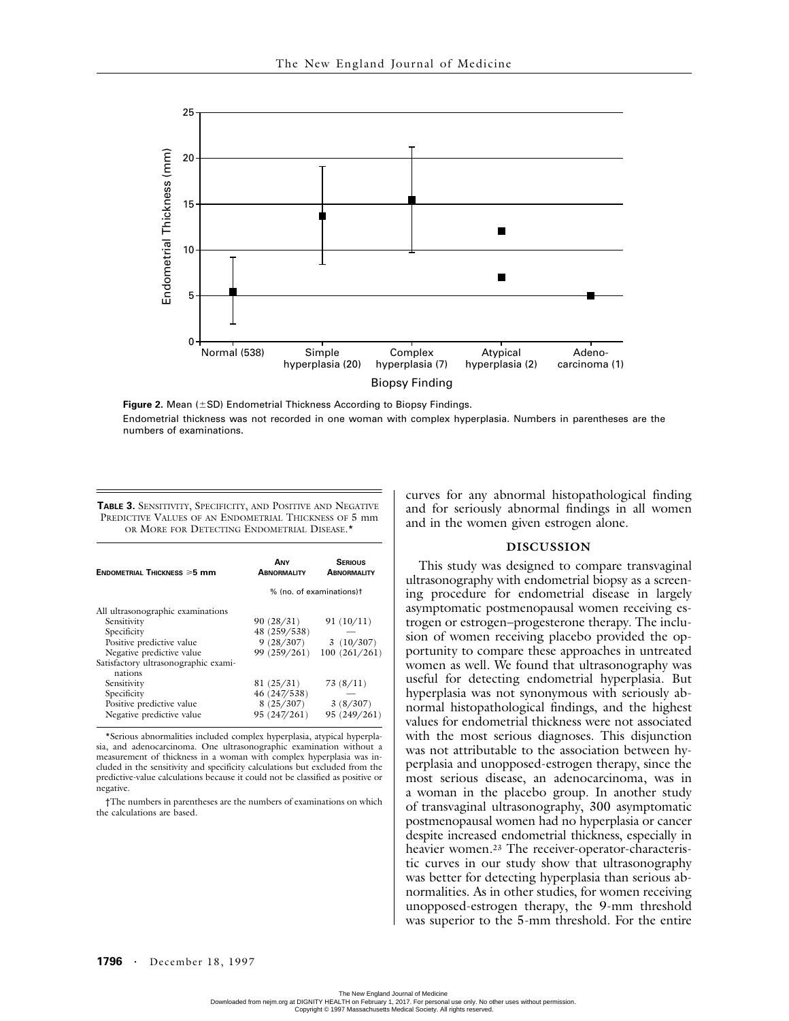

**Figure 2.** Mean (±SD) Endometrial Thickness According to Biopsy Findings. Endometrial thickness was not recorded in one woman with complex hyperplasia. Numbers in parentheses are the numbers of examinations.

**TABLE 3.** SENSITIVITY, SPECIFICITY, AND POSITIVE AND NEGATIVE PREDICTIVE VALUES OF AN ENDOMETRIAL THICKNESS OF 5 mm OR MORE FOR DETECTING ENDOMETRIAL DISEASE.\*

| <b>ENDOMETRIAL THICKNESS ≥5 mm</b>              | ANY<br><b>ABNORMALITY</b> | <b>SERIOUS</b><br><b>ABNORMALITY</b> |  |
|-------------------------------------------------|---------------------------|--------------------------------------|--|
|                                                 | % (no. of examinations)t  |                                      |  |
| All ultrasonographic examinations               |                           |                                      |  |
| Sensitivity                                     | 90(28/31)                 | 91(10/11)                            |  |
| Specificity                                     | 48 (259/538)              |                                      |  |
| Positive predictive value                       | 9(28/307)                 | 3(10/307)                            |  |
| Negative predictive value                       | 99 (259/261)              | 100(261/261)                         |  |
| Satisfactory ultrasonographic exami-<br>nations |                           |                                      |  |
| Sensitivity                                     | 81(25/31)                 | 73(8/11)                             |  |
| Specificity                                     | 46 (247/538)              |                                      |  |
| Positive predictive value                       | 8(25/307)                 | 3(8/307)                             |  |
| Negative predictive value                       | 95 (247/261)              | 95 (249/261)                         |  |

\*Serious abnormalities included complex hyperplasia, atypical hyperplasia, and adenocarcinoma. One ultrasonographic examination without a measurement of thickness in a woman with complex hyperplasia was included in the sensitivity and specificity calculations but excluded from the predictive-value calculations because it could not be classified as positive or negative.

†The numbers in parentheses are the numbers of examinations on which the calculations are based.

curves for any abnormal histopathological finding and for seriously abnormal findings in all women and in the women given estrogen alone.

### **DISCUSSION**

This study was designed to compare transvaginal ultrasonography with endometrial biopsy as a screening procedure for endometrial disease in largely asymptomatic postmenopausal women receiving estrogen or estrogen–progesterone therapy. The inclusion of women receiving placebo provided the opportunity to compare these approaches in untreated women as well. We found that ultrasonography was useful for detecting endometrial hyperplasia. But hyperplasia was not synonymous with seriously abnormal histopathological findings, and the highest values for endometrial thickness were not associated with the most serious diagnoses. This disjunction was not attributable to the association between hyperplasia and unopposed-estrogen therapy, since the most serious disease, an adenocarcinoma, was in a woman in the placebo group. In another study of transvaginal ultrasonography, 300 asymptomatic postmenopausal women had no hyperplasia or cancer despite increased endometrial thickness, especially in heavier women.23 The receiver-operator-characteristic curves in our study show that ultrasonography was better for detecting hyperplasia than serious abnormalities. As in other studies, for women receiving unopposed-estrogen therapy, the 9-mm threshold was superior to the 5-mm threshold. For the entire

The New England Journal of Medicine<br>Downloaded from nejm.org at DIGNITY HEALTH on February 1, 2017. For personal use only. No other uses without permission.<br>Copyright © 1997 Massachusetts Medical Society. All rights reser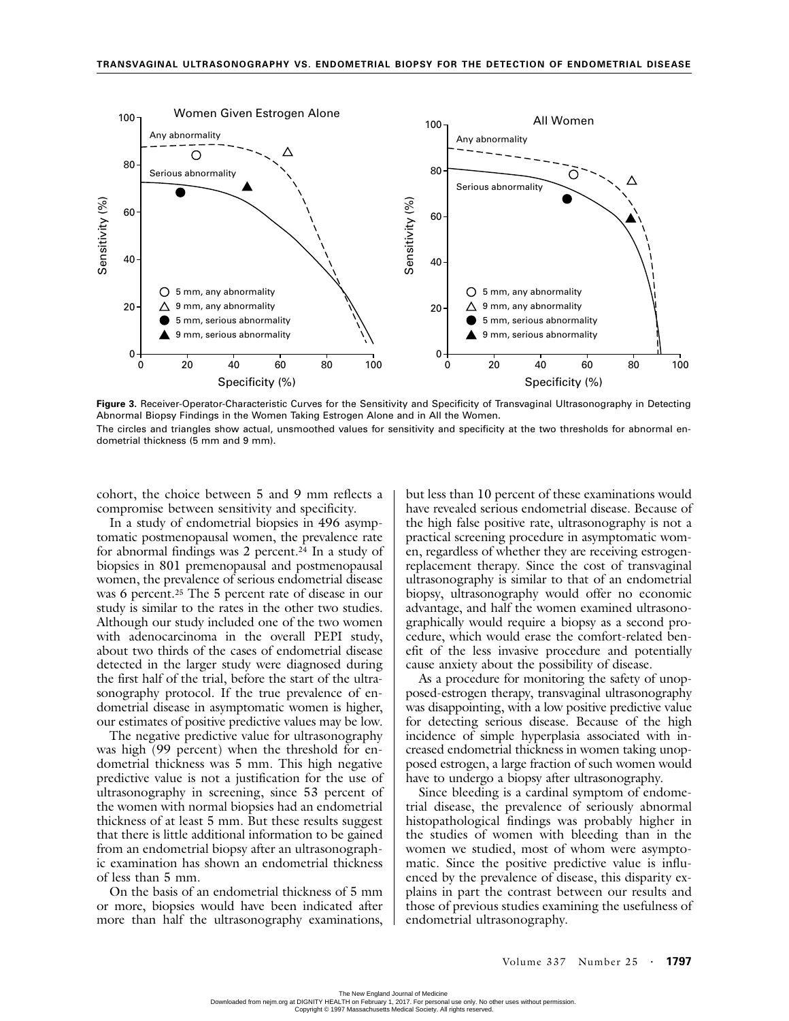

**Figure 3.** Receiver-Operator-Characteristic Curves for the Sensitivity and Specificity of Transvaginal Ultrasonography in Detecting Abnormal Biopsy Findings in the Women Taking Estrogen Alone and in All the Women. The circles and triangles show actual, unsmoothed values for sensitivity and specificity at the two thresholds for abnormal endometrial thickness (5 mm and 9 mm).

cohort, the choice between 5 and 9 mm reflects a compromise between sensitivity and specificity.

In a study of endometrial biopsies in 496 asymptomatic postmenopausal women, the prevalence rate for abnormal findings was 2 percent.24 In a study of biopsies in 801 premenopausal and postmenopausal women, the prevalence of serious endometrial disease was 6 percent.<sup>25</sup> The 5 percent rate of disease in our study is similar to the rates in the other two studies. Although our study included one of the two women with adenocarcinoma in the overall PEPI study, about two thirds of the cases of endometrial disease detected in the larger study were diagnosed during the first half of the trial, before the start of the ultrasonography protocol. If the true prevalence of endometrial disease in asymptomatic women is higher, our estimates of positive predictive values may be low.

The negative predictive value for ultrasonography was high (99 percent) when the threshold for endometrial thickness was 5 mm. This high negative predictive value is not a justification for the use of ultrasonography in screening, since 53 percent of the women with normal biopsies had an endometrial thickness of at least 5 mm. But these results suggest that there is little additional information to be gained from an endometrial biopsy after an ultrasonographic examination has shown an endometrial thickness of less than 5 mm.

On the basis of an endometrial thickness of 5 mm or more, biopsies would have been indicated after more than half the ultrasonography examinations,

but less than 10 percent of these examinations would have revealed serious endometrial disease. Because of the high false positive rate, ultrasonography is not a practical screening procedure in asymptomatic women, regardless of whether they are receiving estrogenreplacement therapy. Since the cost of transvaginal ultrasonography is similar to that of an endometrial biopsy, ultrasonography would offer no economic advantage, and half the women examined ultrasonographically would require a biopsy as a second procedure, which would erase the comfort-related benefit of the less invasive procedure and potentially cause anxiety about the possibility of disease.

As a procedure for monitoring the safety of unopposed-estrogen therapy, transvaginal ultrasonography was disappointing, with a low positive predictive value for detecting serious disease. Because of the high incidence of simple hyperplasia associated with increased endometrial thickness in women taking unopposed estrogen, a large fraction of such women would have to undergo a biopsy after ultrasonography.

Since bleeding is a cardinal symptom of endometrial disease, the prevalence of seriously abnormal histopathological findings was probably higher in the studies of women with bleeding than in the women we studied, most of whom were asymptomatic. Since the positive predictive value is influenced by the prevalence of disease, this disparity explains in part the contrast between our results and those of previous studies examining the usefulness of endometrial ultrasonography.